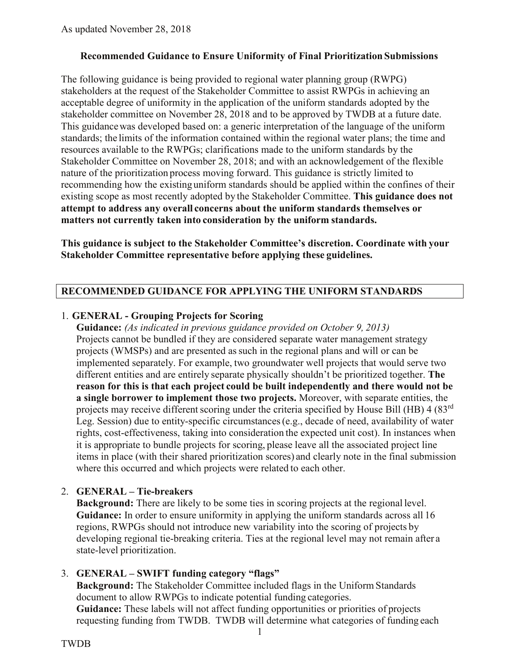### **Recommended Guidance to Ensure Uniformity of Final Prioritization Submissions**

The following guidance is being provided to regional water planning group (RWPG) stakeholders at the request of the Stakeholder Committee to assist RWPGs in achieving an acceptable degree of uniformity in the application of the uniform standards adopted by the stakeholder committee on November 28, 2018 and to be approved by TWDB at a future date. This guidancewas developed based on: a generic interpretation of the language of the uniform standards; the limits of the information contained within the regional water plans; the time and resources available to the RWPGs; clarifications made to the uniform standards by the Stakeholder Committee on November 28, 2018; and with an acknowledgement of the flexible nature of the prioritization process moving forward. This guidance is strictly limited to recommending how the existing uniform standards should be applied within the confines of their existing scope as most recently adopted by the Stakeholder Committee. **This guidance does not attempt to address any overall concerns about the uniform standards themselves or matters not currently taken into consideration by the uniform standards.**

**This guidance is subject to the Stakeholder Committee's discretion. Coordinate with your Stakeholder Committee representative before applying these guidelines.**

## **RECOMMENDED GUIDANCE FOR APPLYING THE UNIFORM STANDARDS**

### 1. **GENERAL - Grouping Projects for Scoring**

**Guidance:** *(As indicated in previous guidance provided on October 9, 2013)* Projects cannot be bundled if they are considered separate water management strategy projects (WMSPs) and are presented assuch in the regional plans and will or can be implemented separately. For example, two groundwater well projects that would serve two different entities and are entirely separate physically shouldn't be prioritized together. **The reason for this is that each project could be built independently and there would not be a single borrower to implement those two projects.** Moreover, with separate entities, the projects may receive different scoring under the criteria specified by House Bill (HB)  $4(83<sup>rd</sup>$ Leg. Session) due to entity-specific circumstances(e.g., decade of need, availability of water rights, cost-effectiveness, taking into consideration the expected unit cost). In instances when it is appropriate to bundle projects for scoring, please leave all the associated project line items in place (with their shared prioritization scores) and clearly note in the final submission where this occurred and which projects were related to each other.

## 2. **GENERAL – Tie-breakers**

**Background:** There are likely to be some ties in scoring projects at the regional level. **Guidance:** In order to ensure uniformity in applying the uniform standards across all 16 regions, RWPGs should not introduce new variability into the scoring of projects by developing regional tie-breaking criteria. Ties at the regional level may not remain after a state-level prioritization.

## 3. **GENERAL – SWIFT funding category "flags"**

**Background:** The Stakeholder Committee included flags in the Uniform Standards document to allow RWPGs to indicate potential funding categories. **Guidance:** These labels will not affect funding opportunities or priorities of projects requesting funding from TWDB. TWDB will determine what categories of funding each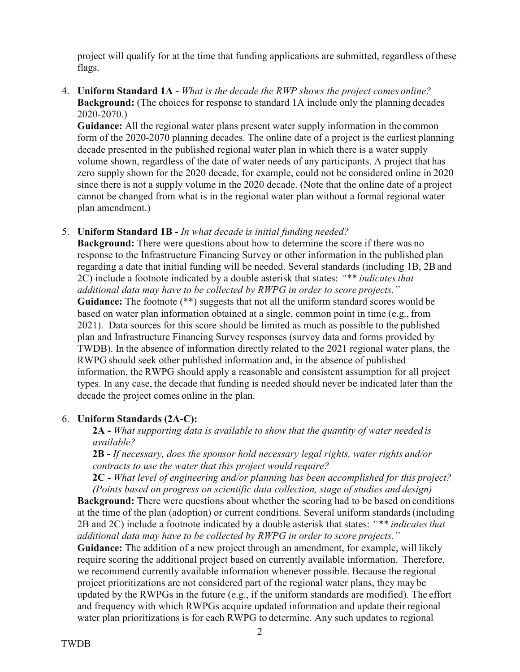project will qualify for at the time that funding applications are submitted, regardless ofthese flags.

#### 4. **Uniform Standard 1A -** *What is the decade the RWP shows the project comes online?*  **Background:** (The choices for response to standard 1A include only the planning decades 2020-2070.)

**Guidance:** All the regional water plans present water supply information in the common form of the 2020-2070 planning decades. The online date of a project is the earliest planning decade presented in the published regional water plan in which there is a water supply volume shown, regardless of the date of water needs of any participants. A project that has zero supply shown for the 2020 decade, for example, could not be considered online in 2020 since there is not a supply volume in the 2020 decade. (Note that the online date of a project cannot be changed from what is in the regional water plan without a formal regional water plan amendment.)

#### 5. **Uniform Standard 1B -** *In what decade is initial funding needed?*

**Background:** There were questions about how to determine the score if there was no response to the Infrastructure Financing Survey or other information in the published plan regarding a date that initial funding will be needed. Several standards (including 1B, 2Band 2C) include a footnote indicated by a double asterisk that states: *"\*\* indicatesthat additional data may have to be collected by RWPG in order to score projects."* Guidance: The footnote (\*\*) suggests that not all the uniform standard scores would be based on water plan information obtained at a single, common point in time (e.g., from 2021). Data sources for this score should be limited as much as possible to the published plan and Infrastructure Financing Survey responses (survey data and forms provided by TWDB). In the absence of information directly related to the 2021 regional water plans, the RWPG should seek other published information and, in the absence of published information, the RWPG should apply a reasonable and consistent assumption for all project types. In any case, the decade that funding is needed should never be indicated later than the decade the project comes online in the plan.

### 6. **Uniform Standards (2A-C):**

**2A -** *What supporting data is available to show that the quantity of water needed is available?*

**2B -** *If necessary, does the sponsor hold necessary legal rights, water rights and/or contracts to use the water that this project would require?*

**2C -** *What level of engineering and/or planning has been accomplished for this project? (Points based on progress on scientific data collection, stage of studies and design)*

**Background:** There were questions about whether the scoring had to be based on conditions at the time of the plan (adoption) or current conditions. Several uniform standards(including 2B and 2C) include a footnote indicated by a double asterisk that states: *"\*\* indicatesthat additional data may have to be collected by RWPG in order to score projects."*

Guidance: The addition of a new project through an amendment, for example, will likely require scoring the additional project based on currently available information. Therefore, we recommend currently available information whenever possible. Because the regional project prioritizations are not considered part of the regional water plans, they may be updated by the RWPGs in the future (e.g., if the uniform standards are modified). The effort and frequency with which RWPGs acquire updated information and update their regional water plan prioritizations is for each RWPG to determine. Any such updates to regional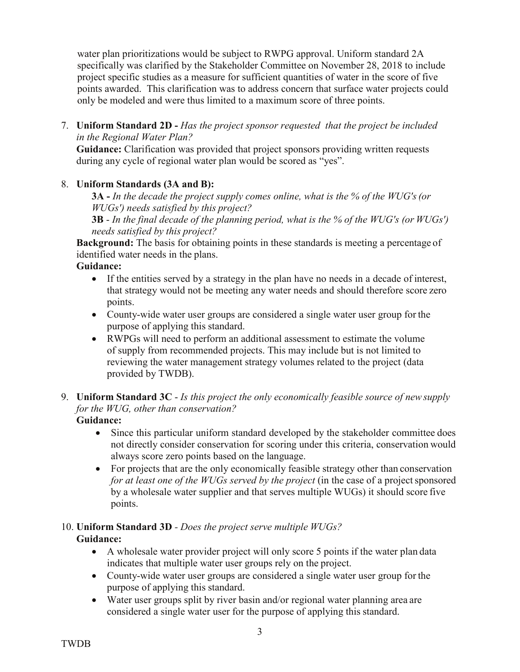water plan prioritizations would be subject to RWPG approval. Uniform standard 2A specifically was clarified by the Stakeholder Committee on November 28, 2018 to include project specific studies as a measure for sufficient quantities of water in the score of five points awarded. This clarification was to address concern that surface water projects could only be modeled and were thus limited to a maximum score of three points.

7. **Uniform Standard 2D -** *Has the project sponsor requested that the project be included in the Regional Water Plan?*

**Guidance:** Clarification was provided that project sponsors providing written requests during any cycle of regional water plan would be scored as "yes".

## 8. **Uniform Standards (3A and B):**

**3A -** *In the decade the project supply comes online, what is the % of the WUG's(or WUGs') needs satisfied by this project?*

**3B** - *In the final decade of the planning period, what is the % of the WUG's (or WUGs') needs satisfied by this project?*

**Background:** The basis for obtaining points in these standards is meeting a percentage of identified water needs in the plans.

## **Guidance:**

- If the entities served by a strategy in the plan have no needs in a decade of interest, that strategy would not be meeting any water needs and should therefore score zero points.
- County-wide water user groups are considered a single water user group for the purpose of applying this standard.
- RWPGs will need to perform an additional assessment to estimate the volume of supply from recommended projects. This may include but is not limited to reviewing the water management strategy volumes related to the project (data provided by TWDB).
- 9. **Uniform Standard 3C**  *Is this project the only economically feasible source of newsupply for the WUG, other than conservation?*
	- **Guidance:**
		- Since this particular uniform standard developed by the stakeholder committee does not directly consider conservation for scoring under this criteria, conservation would always score zero points based on the language.
		- For projects that are the only economically feasible strategy other than conservation *for at least one of the WUGs served by the project* (in the case of a project sponsored by a wholesale water supplier and that serves multiple WUGs) it should score five points.

# 10. **Uniform Standard 3D** *- Does the project serve multiple WUGs?* **Guidance:**

- A wholesale water provider project will only score 5 points if the water plan data indicates that multiple water user groups rely on the project.
- County-wide water user groups are considered a single water user group for the purpose of applying this standard.
- Water user groups split by river basin and/or regional water planning area are considered a single water user for the purpose of applying this standard.